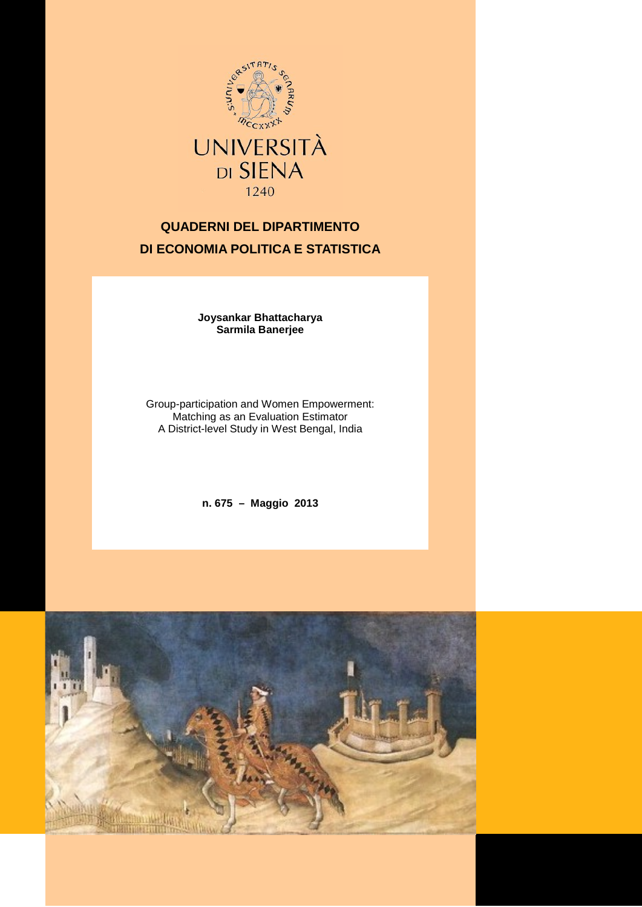

# **QUADERNI DEL DIPARTIMENTO DI ECONOMIA POLITICA E STATISTICA**

**Joysankar Bhattacharya Sarmila Banerjee**

Group-participation and Women Empowerment: Matching as an Evaluation Estimator A District-level Study in West Bengal, India

**n. 675 – Maggio 2013**

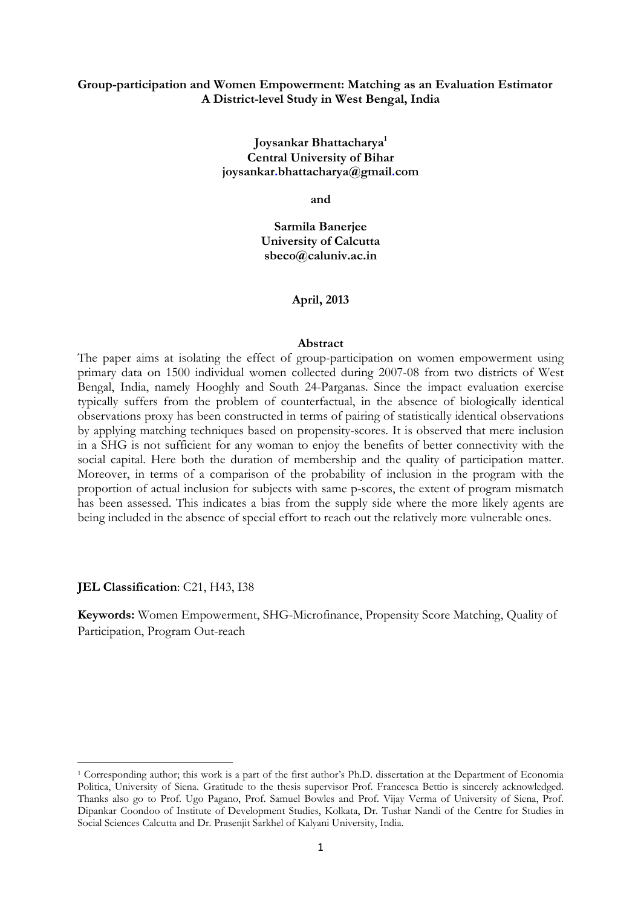## Group-participation and Women Empowerment: Matching as an Evaluation Estimator A District-level Study in West Bengal, India

## Joysankar Bhattacharya<sup>1</sup> Central University of Bihar joysankar.bhattacharya@gmail.com

and

Sarmila Banerjee University of Calcutta sbeco@caluniv.ac.in

#### April, 2013

#### Abstract

The paper aims at isolating the effect of group-participation on women empowerment using primary data on 1500 individual women collected during 2007-08 from two districts of West Bengal, India, namely Hooghly and South 24-Parganas. Since the impact evaluation exercise typically suffers from the problem of counterfactual, in the absence of biologically identical observations proxy has been constructed in terms of pairing of statistically identical observations by applying matching techniques based on propensity-scores. It is observed that mere inclusion in a SHG is not sufficient for any woman to enjoy the benefits of better connectivity with the social capital. Here both the duration of membership and the quality of participation matter. Moreover, in terms of a comparison of the probability of inclusion in the program with the proportion of actual inclusion for subjects with same p-scores, the extent of program mismatch has been assessed. This indicates a bias from the supply side where the more likely agents are being included in the absence of special effort to reach out the relatively more vulnerable ones.

JEL Classification: C21, H43, I38

l

Keywords: Women Empowerment, SHG-Microfinance, Propensity Score Matching, Quality of Participation, Program Out-reach

<sup>1</sup> Corresponding author; this work is a part of the first author's Ph.D. dissertation at the Department of Economia Politica, University of Siena. Gratitude to the thesis supervisor Prof. Francesca Bettio is sincerely acknowledged. Thanks also go to Prof. Ugo Pagano, Prof. Samuel Bowles and Prof. Vijay Verma of University of Siena, Prof. Dipankar Coondoo of Institute of Development Studies, Kolkata, Dr. Tushar Nandi of the Centre for Studies in Social Sciences Calcutta and Dr. Prasenjit Sarkhel of Kalyani University, India.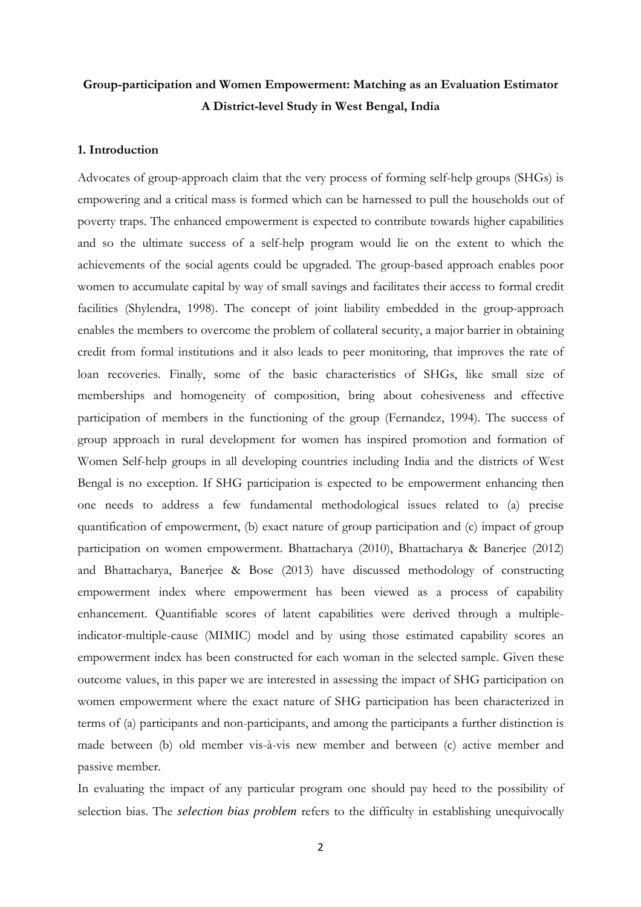## Group-participation and Women Empowerment: Matching as an Evaluation Estimator A District-level Study in West Bengal, India

#### 1. Introduction

Advocates of group-approach claim that the very process of forming self-help groups (SHGs) is empowering and a critical mass is formed which can be harnessed to pull the households out of poverty traps. The enhanced empowerment is expected to contribute towards higher capabilities and so the ultimate success of a self-help program would lie on the extent to which the achievements of the social agents could be upgraded. The group-based approach enables poor women to accumulate capital by way of small savings and facilitates their access to formal credit facilities (Shylendra, 1998). The concept of joint liability embedded in the group-approach enables the members to overcome the problem of collateral security, a major barrier in obtaining credit from formal institutions and it also leads to peer monitoring, that improves the rate of loan recoveries. Finally, some of the basic characteristics of SHGs, like small size of memberships and homogeneity of composition, bring about cohesiveness and effective participation of members in the functioning of the group (Fernandez, 1994). The success of group approach in rural development for women has inspired promotion and formation of Women Self-help groups in all developing countries including India and the districts of West Bengal is no exception. If SHG participation is expected to be empowerment enhancing then one needs to address a few fundamental methodological issues related to (a) precise quantification of empowerment, (b) exact nature of group participation and (c) impact of group participation on women empowerment. Bhattacharya (2010), Bhattacharya & Banerjee (2012) and Bhattacharya, Banerjee & Bose (2013) have discussed methodology of constructing empowerment index where empowerment has been viewed as a process of capability enhancement. Quantifiable scores of latent capabilities were derived through a multipleindicator-multiple-cause (MIMIC) model and by using those estimated capability scores an empowerment index has been constructed for each woman in the selected sample. Given these outcome values, in this paper we are interested in assessing the impact of SHG participation on women empowerment where the exact nature of SHG participation has been characterized in terms of (a) participants and non-participants, and among the participants a further distinction is made between (b) old member vis-à-vis new member and between (c) active member and passive member.

In evaluating the impact of any particular program one should pay heed to the possibility of selection bias. The *selection bias problem* refers to the difficulty in establishing unequivocally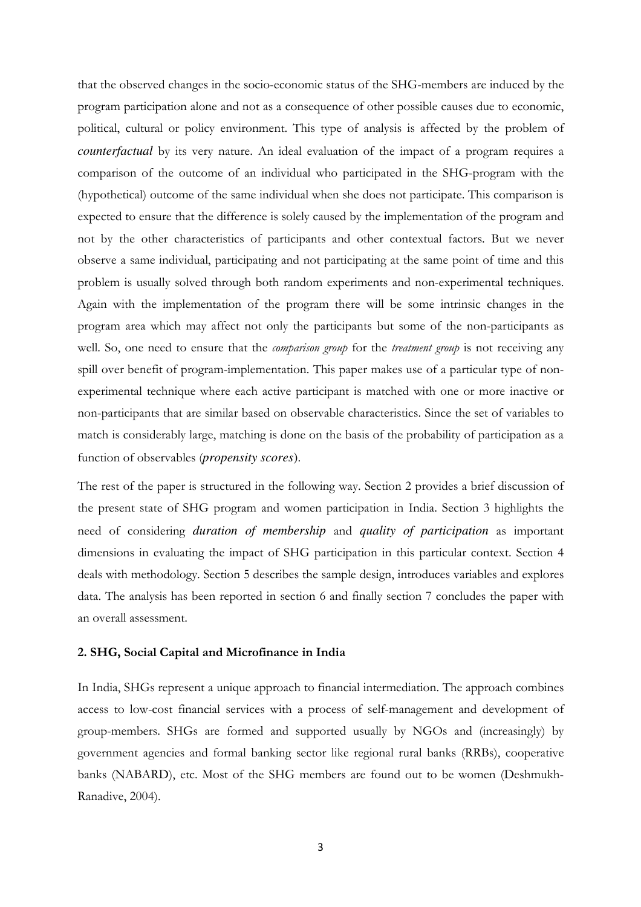that the observed changes in the socio-economic status of the SHG-members are induced by the program participation alone and not as a consequence of other possible causes due to economic, political, cultural or policy environment. This type of analysis is affected by the problem of *counterfactual* by its very nature. An ideal evaluation of the impact of a program requires a comparison of the outcome of an individual who participated in the SHG-program with the (hypothetical) outcome of the same individual when she does not participate. This comparison is expected to ensure that the difference is solely caused by the implementation of the program and not by the other characteristics of participants and other contextual factors. But we never observe a same individual, participating and not participating at the same point of time and this problem is usually solved through both random experiments and non-experimental techniques. Again with the implementation of the program there will be some intrinsic changes in the program area which may affect not only the participants but some of the non-participants as well. So, one need to ensure that the *comparison group* for the *treatment group* is not receiving any spill over benefit of program-implementation. This paper makes use of a particular type of nonexperimental technique where each active participant is matched with one or more inactive or non-participants that are similar based on observable characteristics. Since the set of variables to match is considerably large, matching is done on the basis of the probability of participation as a function of observables (*propensity scores*).

The rest of the paper is structured in the following way. Section 2 provides a brief discussion of the present state of SHG program and women participation in India. Section 3 highlights the need of considering *duration of membership* and *quality of participation* as important dimensions in evaluating the impact of SHG participation in this particular context. Section 4 deals with methodology. Section 5 describes the sample design, introduces variables and explores data. The analysis has been reported in section 6 and finally section 7 concludes the paper with an overall assessment.

## 2. SHG, Social Capital and Microfinance in India

In India, SHGs represent a unique approach to financial intermediation. The approach combines access to low-cost financial services with a process of self-management and development of group-members. SHGs are formed and supported usually by NGOs and (increasingly) by government agencies and formal banking sector like regional rural banks (RRBs), cooperative banks (NABARD), etc. Most of the SHG members are found out to be women (Deshmukh-Ranadive, 2004).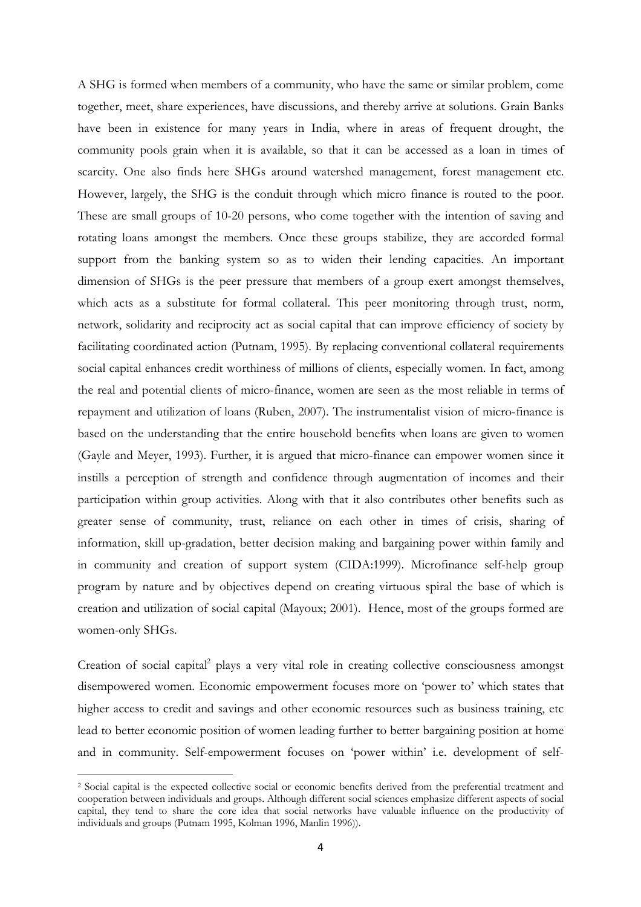A SHG is formed when members of a community, who have the same or similar problem, come together, meet, share experiences, have discussions, and thereby arrive at solutions. Grain Banks have been in existence for many years in India, where in areas of frequent drought, the community pools grain when it is available, so that it can be accessed as a loan in times of scarcity. One also finds here SHGs around watershed management, forest management etc. However, largely, the SHG is the conduit through which micro finance is routed to the poor. These are small groups of 10-20 persons, who come together with the intention of saving and rotating loans amongst the members. Once these groups stabilize, they are accorded formal support from the banking system so as to widen their lending capacities. An important dimension of SHGs is the peer pressure that members of a group exert amongst themselves, which acts as a substitute for formal collateral. This peer monitoring through trust, norm, network, solidarity and reciprocity act as social capital that can improve efficiency of society by facilitating coordinated action (Putnam, 1995). By replacing conventional collateral requirements social capital enhances credit worthiness of millions of clients, especially women. In fact, among the real and potential clients of micro-finance, women are seen as the most reliable in terms of repayment and utilization of loans (Ruben, 2007). The instrumentalist vision of micro-finance is based on the understanding that the entire household benefits when loans are given to women (Gayle and Meyer, 1993). Further, it is argued that micro-finance can empower women since it instills a perception of strength and confidence through augmentation of incomes and their participation within group activities. Along with that it also contributes other benefits such as greater sense of community, trust, reliance on each other in times of crisis, sharing of information, skill up-gradation, better decision making and bargaining power within family and in community and creation of support system (CIDA:1999). Microfinance self-help group program by nature and by objectives depend on creating virtuous spiral the base of which is creation and utilization of social capital (Mayoux; 2001). Hence, most of the groups formed are women-only SHGs.

Creation of social capital<sup>2</sup> plays a very vital role in creating collective consciousness amongst disempowered women. Economic empowerment focuses more on 'power to' which states that higher access to credit and savings and other economic resources such as business training, etc lead to better economic position of women leading further to better bargaining position at home and in community. Self-empowerment focuses on 'power within' i.e. development of self-

l

<sup>2</sup> Social capital is the expected collective social or economic benefits derived from the preferential treatment and cooperation between individuals and groups. Although different social sciences emphasize different aspects of social capital, they tend to share the core idea that social networks have valuable influence on the productivity of individuals and groups (Putnam 1995, Kolman 1996, Manlin 1996)).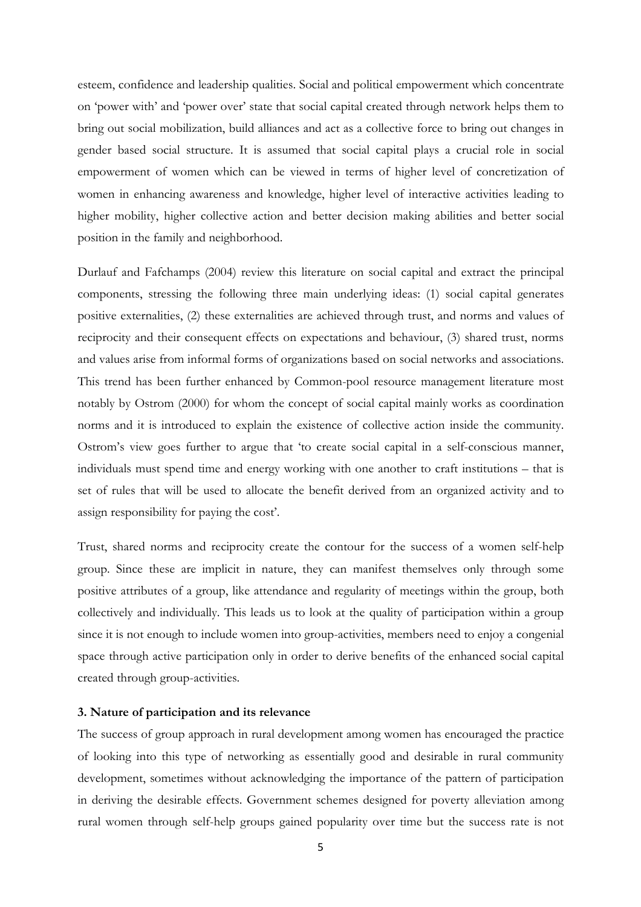esteem, confidence and leadership qualities. Social and political empowerment which concentrate on 'power with' and 'power over' state that social capital created through network helps them to bring out social mobilization, build alliances and act as a collective force to bring out changes in gender based social structure. It is assumed that social capital plays a crucial role in social empowerment of women which can be viewed in terms of higher level of concretization of women in enhancing awareness and knowledge, higher level of interactive activities leading to higher mobility, higher collective action and better decision making abilities and better social position in the family and neighborhood.

Durlauf and Fafchamps (2004) review this literature on social capital and extract the principal components, stressing the following three main underlying ideas: (1) social capital generates positive externalities, (2) these externalities are achieved through trust, and norms and values of reciprocity and their consequent effects on expectations and behaviour, (3) shared trust, norms and values arise from informal forms of organizations based on social networks and associations. This trend has been further enhanced by Common-pool resource management literature most notably by Ostrom (2000) for whom the concept of social capital mainly works as coordination norms and it is introduced to explain the existence of collective action inside the community. Ostrom's view goes further to argue that 'to create social capital in a self-conscious manner, individuals must spend time and energy working with one another to craft institutions – that is set of rules that will be used to allocate the benefit derived from an organized activity and to assign responsibility for paying the cost'.

Trust, shared norms and reciprocity create the contour for the success of a women self-help group. Since these are implicit in nature, they can manifest themselves only through some positive attributes of a group, like attendance and regularity of meetings within the group, both collectively and individually. This leads us to look at the quality of participation within a group since it is not enough to include women into group-activities, members need to enjoy a congenial space through active participation only in order to derive benefits of the enhanced social capital created through group-activities.

### 3. Nature of participation and its relevance

The success of group approach in rural development among women has encouraged the practice of looking into this type of networking as essentially good and desirable in rural community development, sometimes without acknowledging the importance of the pattern of participation in deriving the desirable effects. Government schemes designed for poverty alleviation among rural women through self-help groups gained popularity over time but the success rate is not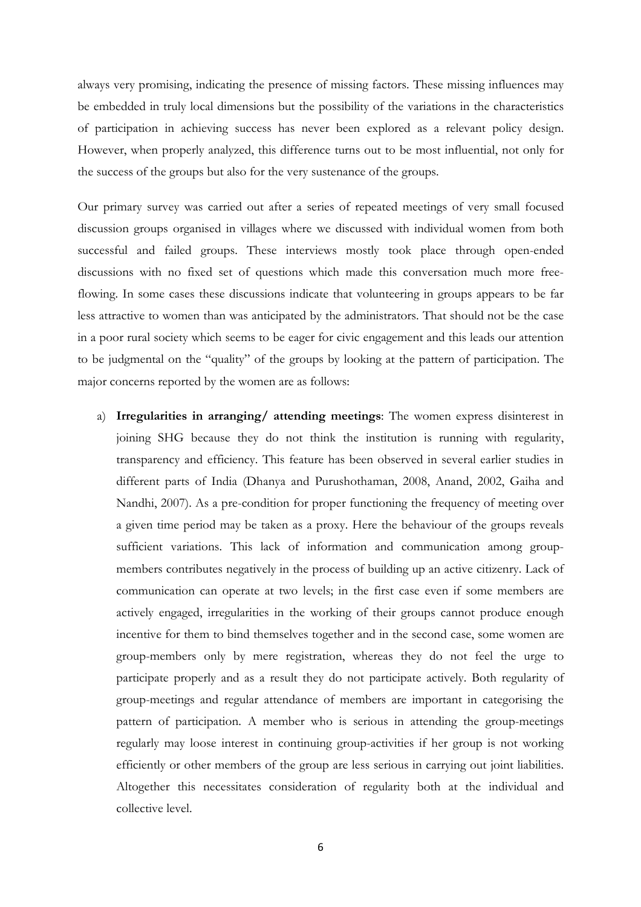always very promising, indicating the presence of missing factors. These missing influences may be embedded in truly local dimensions but the possibility of the variations in the characteristics of participation in achieving success has never been explored as a relevant policy design. However, when properly analyzed, this difference turns out to be most influential, not only for the success of the groups but also for the very sustenance of the groups.

Our primary survey was carried out after a series of repeated meetings of very small focused discussion groups organised in villages where we discussed with individual women from both successful and failed groups. These interviews mostly took place through open-ended discussions with no fixed set of questions which made this conversation much more freeflowing. In some cases these discussions indicate that volunteering in groups appears to be far less attractive to women than was anticipated by the administrators. That should not be the case in a poor rural society which seems to be eager for civic engagement and this leads our attention to be judgmental on the "quality" of the groups by looking at the pattern of participation. The major concerns reported by the women are as follows:

a) Irregularities in arranging/ attending meetings: The women express disinterest in joining SHG because they do not think the institution is running with regularity, transparency and efficiency. This feature has been observed in several earlier studies in different parts of India (Dhanya and Purushothaman, 2008, Anand, 2002, Gaiha and Nandhi, 2007). As a pre-condition for proper functioning the frequency of meeting over a given time period may be taken as a proxy. Here the behaviour of the groups reveals sufficient variations. This lack of information and communication among groupmembers contributes negatively in the process of building up an active citizenry. Lack of communication can operate at two levels; in the first case even if some members are actively engaged, irregularities in the working of their groups cannot produce enough incentive for them to bind themselves together and in the second case, some women are group-members only by mere registration, whereas they do not feel the urge to participate properly and as a result they do not participate actively. Both regularity of group-meetings and regular attendance of members are important in categorising the pattern of participation. A member who is serious in attending the group-meetings regularly may loose interest in continuing group-activities if her group is not working efficiently or other members of the group are less serious in carrying out joint liabilities. Altogether this necessitates consideration of regularity both at the individual and collective level.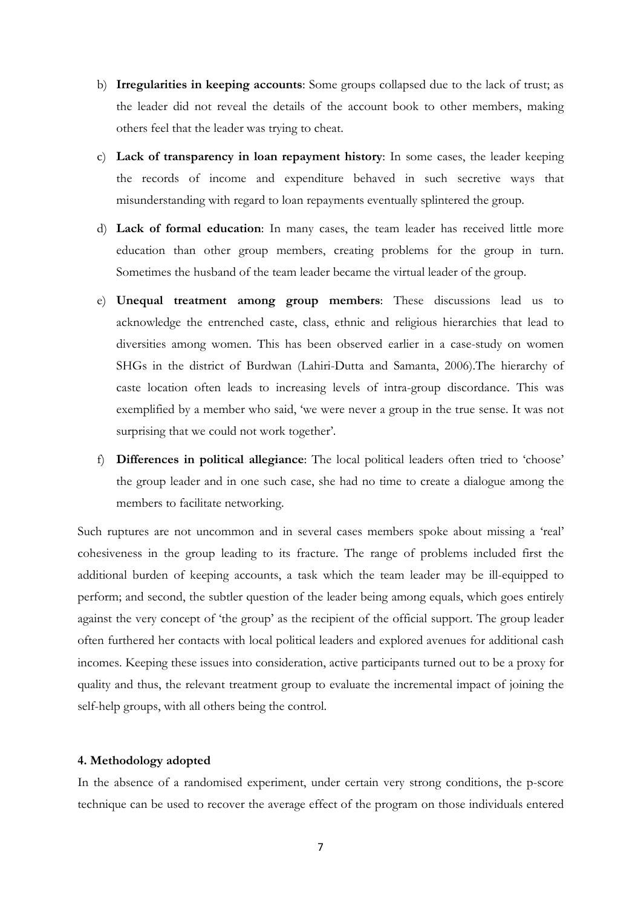- b) Irregularities in keeping accounts: Some groups collapsed due to the lack of trust; as the leader did not reveal the details of the account book to other members, making others feel that the leader was trying to cheat.
- c) Lack of transparency in loan repayment history: In some cases, the leader keeping the records of income and expenditure behaved in such secretive ways that misunderstanding with regard to loan repayments eventually splintered the group.
- d) Lack of formal education: In many cases, the team leader has received little more education than other group members, creating problems for the group in turn. Sometimes the husband of the team leader became the virtual leader of the group.
- e) Unequal treatment among group members: These discussions lead us to acknowledge the entrenched caste, class, ethnic and religious hierarchies that lead to diversities among women. This has been observed earlier in a case-study on women SHGs in the district of Burdwan (Lahiri-Dutta and Samanta, 2006).The hierarchy of caste location often leads to increasing levels of intra-group discordance. This was exemplified by a member who said, 'we were never a group in the true sense. It was not surprising that we could not work together'.
- f) Differences in political allegiance: The local political leaders often tried to 'choose' the group leader and in one such case, she had no time to create a dialogue among the members to facilitate networking.

Such ruptures are not uncommon and in several cases members spoke about missing a 'real' cohesiveness in the group leading to its fracture. The range of problems included first the additional burden of keeping accounts, a task which the team leader may be ill-equipped to perform; and second, the subtler question of the leader being among equals, which goes entirely against the very concept of 'the group' as the recipient of the official support. The group leader often furthered her contacts with local political leaders and explored avenues for additional cash incomes. Keeping these issues into consideration, active participants turned out to be a proxy for quality and thus, the relevant treatment group to evaluate the incremental impact of joining the self-help groups, with all others being the control.

## 4. Methodology adopted

In the absence of a randomised experiment, under certain very strong conditions, the p-score technique can be used to recover the average effect of the program on those individuals entered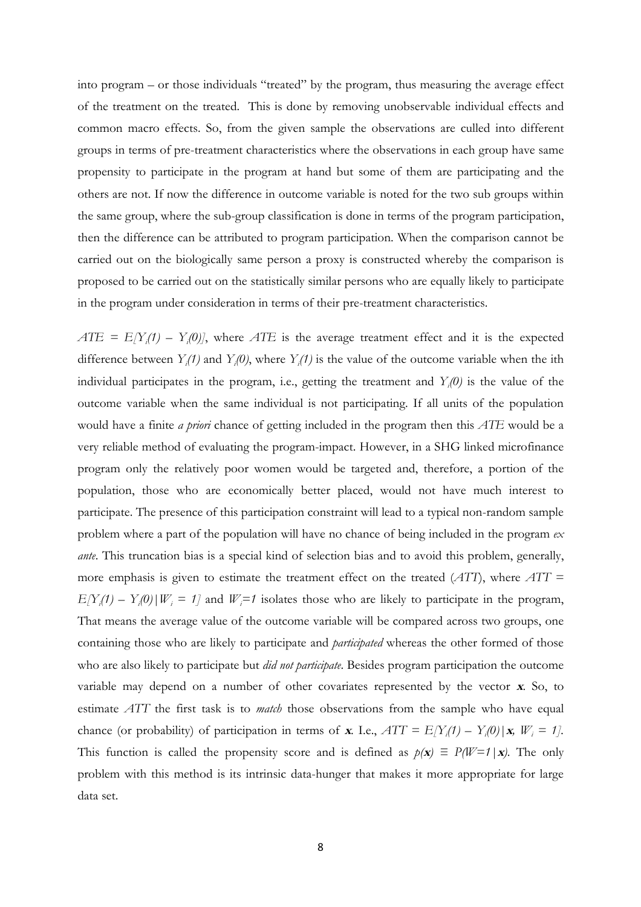into program – or those individuals "treated" by the program, thus measuring the average effect of the treatment on the treated. This is done by removing unobservable individual effects and common macro effects. So, from the given sample the observations are culled into different groups in terms of pre-treatment characteristics where the observations in each group have same propensity to participate in the program at hand but some of them are participating and the others are not. If now the difference in outcome variable is noted for the two sub groups within the same group, where the sub-group classification is done in terms of the program participation, then the difference can be attributed to program participation. When the comparison cannot be carried out on the biologically same person a proxy is constructed whereby the comparison is proposed to be carried out on the statistically similar persons who are equally likely to participate in the program under consideration in terms of their pre-treatment characteristics.

 $ATE = E[Y_i(1) - Y_i(0)]$ , where ATE is the average treatment effect and it is the expected difference between  $Y_i(t)$  and  $Y_i(0)$ , where  $Y_i(t)$  is the value of the outcome variable when the ith individual participates in the program, i.e., getting the treatment and  $Y_i(0)$  is the value of the outcome variable when the same individual is not participating. If all units of the population would have a finite *a priori* chance of getting included in the program then this *ATE* would be a very reliable method of evaluating the program-impact. However, in a SHG linked microfinance program only the relatively poor women would be targeted and, therefore, a portion of the population, those who are economically better placed, would not have much interest to participate. The presence of this participation constraint will lead to a typical non-random sample problem where a part of the population will have no chance of being included in the program  $ex$ *ante*. This truncation bias is a special kind of selection bias and to avoid this problem, generally, more emphasis is given to estimate the treatment effect on the treated  $(ATT)$ , where  $ATT =$  $E[Y_i(1) - Y_i(0) | W_i = 1]$  and  $W_i = 1$  isolates those who are likely to participate in the program, That means the average value of the outcome variable will be compared across two groups, one containing those who are likely to participate and *participated* whereas the other formed of those who are also likely to participate but *did not participate*. Besides program participation the outcome variable may depend on a number of other covariates represented by the vector x. So, to estimate ATT the first task is to *match* those observations from the sample who have equal chance (or probability) of participation in terms of **x**. I.e.,  $ATT = E[Y_i(1) - Y_i(0) | \mathbf{x}, W_i = 1]$ . This function is called the propensity score and is defined as  $p(x) \equiv P(W=1|x)$ . The only problem with this method is its intrinsic data-hunger that makes it more appropriate for large data set.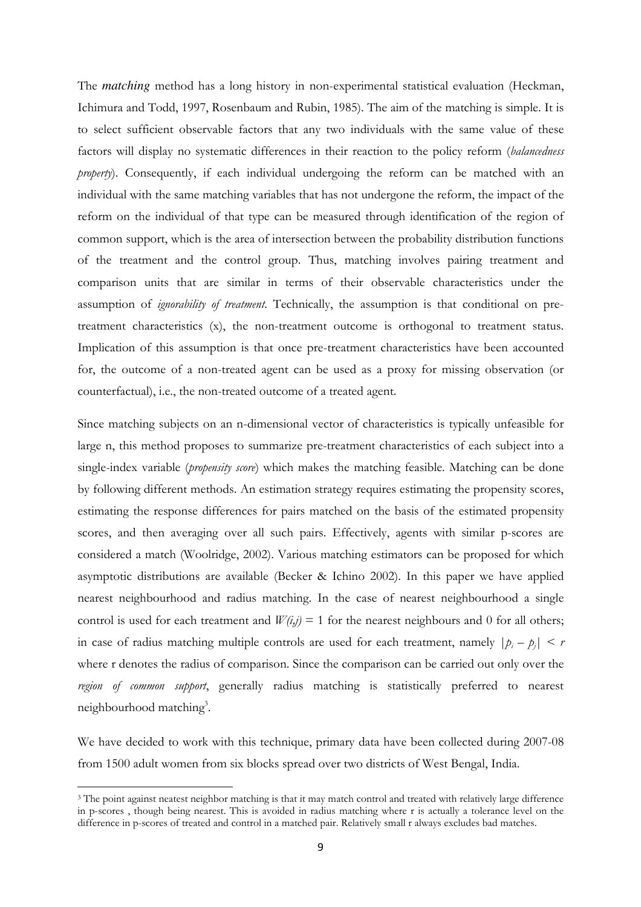The *matching* method has a long history in non-experimental statistical evaluation (Heckman, Ichimura and Todd, 1997, Rosenbaum and Rubin, 1985). The aim of the matching is simple. It is to select sufficient observable factors that any two individuals with the same value of these factors will display no systematic differences in their reaction to the policy reform (balancedness property). Consequently, if each individual undergoing the reform can be matched with an individual with the same matching variables that has not undergone the reform, the impact of the reform on the individual of that type can be measured through identification of the region of common support, which is the area of intersection between the probability distribution functions of the treatment and the control group. Thus, matching involves pairing treatment and comparison units that are similar in terms of their observable characteristics under the assumption of *ignorability of treatment*. Technically, the assumption is that conditional on pretreatment characteristics (x), the non-treatment outcome is orthogonal to treatment status. Implication of this assumption is that once pre-treatment characteristics have been accounted for, the outcome of a non-treated agent can be used as a proxy for missing observation (or counterfactual), i.e., the non-treated outcome of a treated agent.

Since matching subjects on an n-dimensional vector of characteristics is typically unfeasible for large n, this method proposes to summarize pre-treatment characteristics of each subject into a single-index variable *(propensity score)* which makes the matching feasible. Matching can be done by following different methods. An estimation strategy requires estimating the propensity scores, estimating the response differences for pairs matched on the basis of the estimated propensity scores, and then averaging over all such pairs. Effectively, agents with similar p-scores are considered a match (Woolridge, 2002). Various matching estimators can be proposed for which asymptotic distributions are available (Becker & Ichino 2002). In this paper we have applied nearest neighbourhood and radius matching. In the case of nearest neighbourhood a single control is used for each treatment and  $W(i,j) = 1$  for the nearest neighbours and 0 for all others; in case of radius matching multiple controls are used for each treatment, namely  $|p_i - p_j| \leq r$ where r denotes the radius of comparison. Since the comparison can be carried out only over the region of common support, generally radius matching is statistically preferred to nearest neighbourhood matching<sup>3</sup>.

We have decided to work with this technique, primary data have been collected during 2007-08 from 1500 adult women from six blocks spread over two districts of West Bengal, India.

l

<sup>&</sup>lt;sup>3</sup> The point against neatest neighbor matching is that it may match control and treated with relatively large difference in p-scores , though being nearest. This is avoided in radius matching where r is actually a tolerance level on the difference in p-scores of treated and control in a matched pair. Relatively small r always excludes bad matches.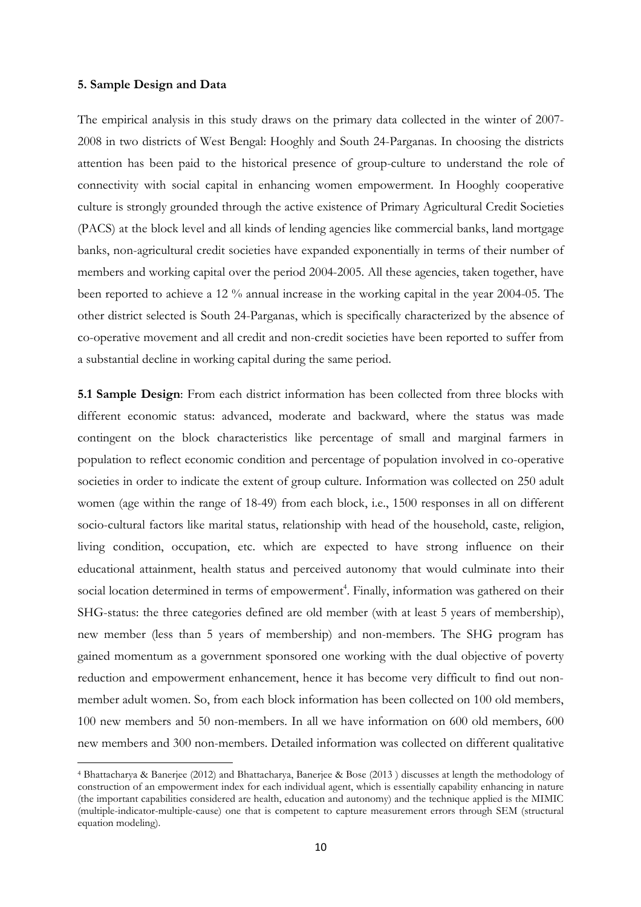#### 5. Sample Design and Data

l

The empirical analysis in this study draws on the primary data collected in the winter of 2007- 2008 in two districts of West Bengal: Hooghly and South 24-Parganas. In choosing the districts attention has been paid to the historical presence of group-culture to understand the role of connectivity with social capital in enhancing women empowerment. In Hooghly cooperative culture is strongly grounded through the active existence of Primary Agricultural Credit Societies (PACS) at the block level and all kinds of lending agencies like commercial banks, land mortgage banks, non-agricultural credit societies have expanded exponentially in terms of their number of members and working capital over the period 2004-2005. All these agencies, taken together, have been reported to achieve a 12 % annual increase in the working capital in the year 2004-05. The other district selected is South 24-Parganas, which is specifically characterized by the absence of co-operative movement and all credit and non-credit societies have been reported to suffer from a substantial decline in working capital during the same period.

5.1 Sample Design: From each district information has been collected from three blocks with different economic status: advanced, moderate and backward, where the status was made contingent on the block characteristics like percentage of small and marginal farmers in population to reflect economic condition and percentage of population involved in co-operative societies in order to indicate the extent of group culture. Information was collected on 250 adult women (age within the range of 18-49) from each block, i.e., 1500 responses in all on different socio-cultural factors like marital status, relationship with head of the household, caste, religion, living condition, occupation, etc. which are expected to have strong influence on their educational attainment, health status and perceived autonomy that would culminate into their social location determined in terms of empowerment<sup>4</sup>. Finally, information was gathered on their SHG-status: the three categories defined are old member (with at least 5 years of membership), new member (less than 5 years of membership) and non-members. The SHG program has gained momentum as a government sponsored one working with the dual objective of poverty reduction and empowerment enhancement, hence it has become very difficult to find out nonmember adult women. So, from each block information has been collected on 100 old members, 100 new members and 50 non-members. In all we have information on 600 old members, 600 new members and 300 non-members. Detailed information was collected on different qualitative

<sup>4</sup> Bhattacharya & Banerjee (2012) and Bhattacharya, Banerjee & Bose (2013 ) discusses at length the methodology of construction of an empowerment index for each individual agent, which is essentially capability enhancing in nature (the important capabilities considered are health, education and autonomy) and the technique applied is the MIMIC (multiple-indicator-multiple-cause) one that is competent to capture measurement errors through SEM (structural equation modeling).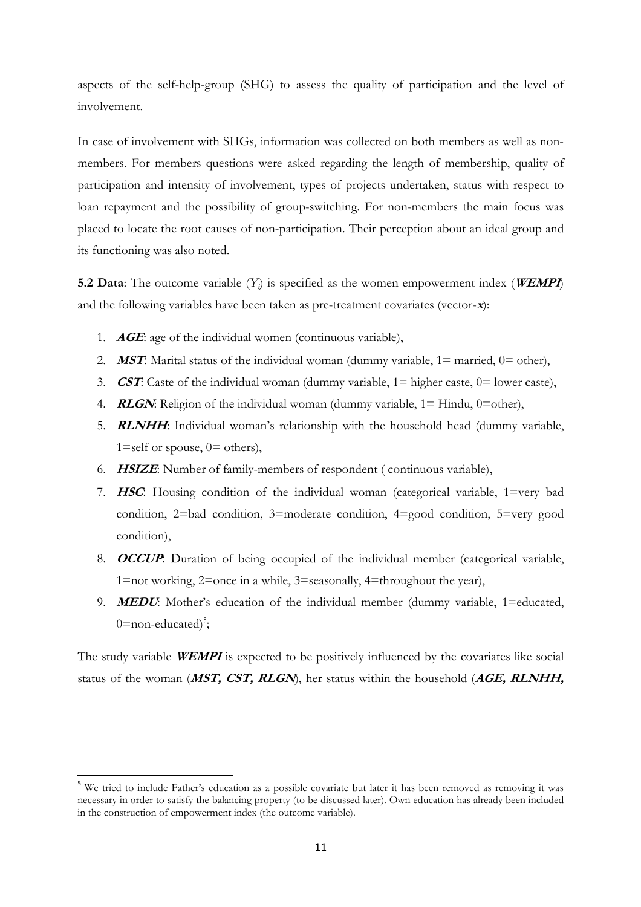aspects of the self-help-group (SHG) to assess the quality of participation and the level of involvement.

In case of involvement with SHGs, information was collected on both members as well as nonmembers. For members questions were asked regarding the length of membership, quality of participation and intensity of involvement, types of projects undertaken, status with respect to loan repayment and the possibility of group-switching. For non-members the main focus was placed to locate the root causes of non-participation. Their perception about an ideal group and its functioning was also noted.

**5.2 Data**: The outcome variable  $(Y_i)$  is specified as the women empowerment index (**WEMPI**) and the following variables have been taken as pre-treatment covariates (vector-x):

- 1.  $AGE: age$  of the individual women (continuous variable),
- 2. **MST:** Marital status of the individual woman (dummy variable,  $1 =$  married,  $0 =$  other),
- 3. **CST:** Caste of the individual woman (dummy variable,  $1 =$  higher caste,  $0 =$  lower caste),
- 4. **RLGN:** Religion of the individual woman (dummy variable,  $1 =$  Hindu,  $0 =$ other),
- 5. **RLNHH:** Individual woman's relationship with the household head (dummy variable,  $1 = \text{self}$  or spouse,  $0 = \text{others}$ ,
- 6. HSIZE: Number of family-members of respondent ( continuous variable),
- 7. HSC: Housing condition of the individual woman (categorical variable, 1=very bad condition, 2=bad condition, 3=moderate condition, 4=good condition, 5=very good condition),
- 8. **OCCUP**: Duration of being occupied of the individual member (categorical variable, 1=not working, 2=once in a while, 3=seasonally, 4=throughout the year),
- 9. **MEDU**: Mother's education of the individual member (dummy variable, 1=educated, 0=non-educated) $5$ ;

The study variable **WEMPI** is expected to be positively influenced by the covariates like social status of the woman (MST, CST, RLGN), her status within the household (AGE, RLNHH,

 $\overline{\phantom{0}}$ 

<sup>5</sup> We tried to include Father's education as a possible covariate but later it has been removed as removing it was necessary in order to satisfy the balancing property (to be discussed later). Own education has already been included in the construction of empowerment index (the outcome variable).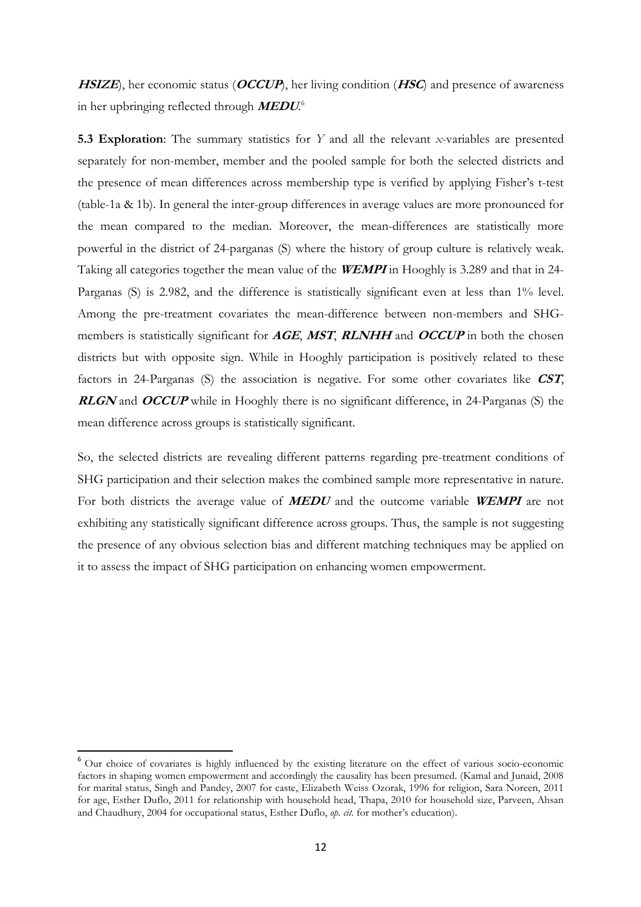$HSIZE$ , her economic status (*OCCUP*), her living condition (*HSC*) and presence of awareness in her upbringing reflected through  $\emph{MEDU}^6$ 

5.3 Exploration: The summary statistics for Y and all the relevant x-variables are presented separately for non-member, member and the pooled sample for both the selected districts and the presence of mean differences across membership type is verified by applying Fisher's t-test (table-1a & 1b). In general the inter-group differences in average values are more pronounced for the mean compared to the median. Moreover, the mean-differences are statistically more powerful in the district of 24-parganas (S) where the history of group culture is relatively weak. Taking all categories together the mean value of the **WEMPI** in Hooghly is 3.289 and that in 24-Parganas (S) is 2.982, and the difference is statistically significant even at less than 1% level. Among the pre-treatment covariates the mean-difference between non-members and SHGmembers is statistically significant for AGE, MST, RLNHH and OCCUP in both the chosen districts but with opposite sign. While in Hooghly participation is positively related to these factors in 24-Parganas (S) the association is negative. For some other covariates like CST, **RLGN** and **OCCUP** while in Hooghly there is no significant difference, in 24-Parganas (S) the mean difference across groups is statistically significant.

So, the selected districts are revealing different patterns regarding pre-treatment conditions of SHG participation and their selection makes the combined sample more representative in nature. For both districts the average value of **MEDU** and the outcome variable **WEMPI** are not exhibiting any statistically significant difference across groups. Thus, the sample is not suggesting the presence of any obvious selection bias and different matching techniques may be applied on it to assess the impact of SHG participation on enhancing women empowerment.

l

<sup>6</sup> Our choice of covariates is highly influenced by the existing literature on the effect of various socio-economic factors in shaping women empowerment and accordingly the causality has been presumed. (Kamal and Junaid, 2008 for marital status, Singh and Pandey, 2007 for caste, Elizabeth Weiss Ozorak, 1996 for religion, Sara Noreen, 2011 for age, Esther Duflo, 2011 for relationship with household head, Thapa, 2010 for household size, Parveen, Ahsan and Chaudhury, 2004 for occupational status, Esther Duflo, op. cit. for mother's education).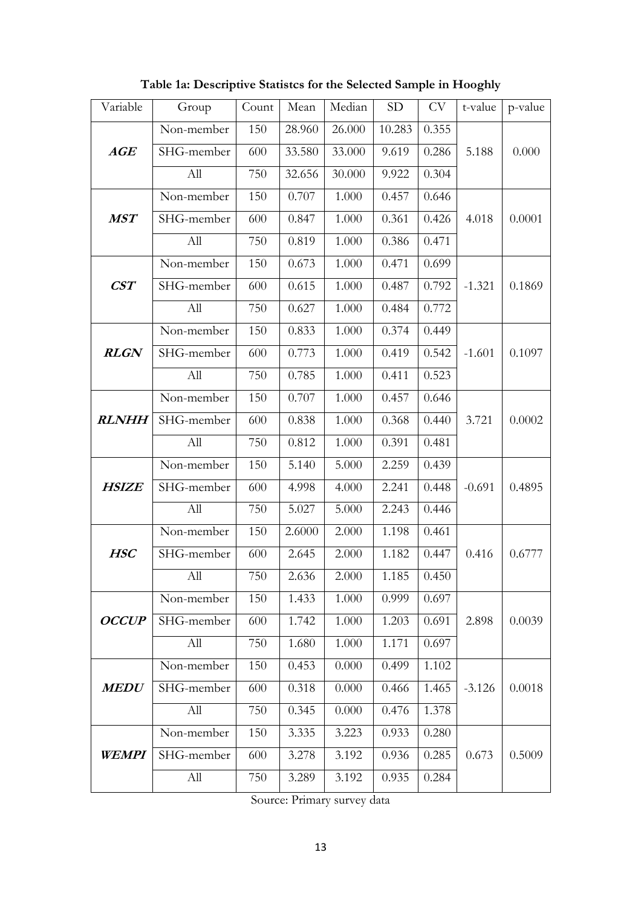| Variable           | Group      | Count | Mean   | Median | <b>SD</b> | CV    | t-value  | p-value |
|--------------------|------------|-------|--------|--------|-----------|-------|----------|---------|
|                    | Non-member | 150   | 28.960 | 26.000 | 10.283    | 0.355 |          |         |
| AGE                | SHG-member | 600   | 33.580 | 33.000 | 9.619     | 0.286 | 5.188    | 0.000   |
|                    | All        | 750   | 32.656 | 30.000 | 9.922     | 0.304 |          |         |
|                    | Non-member | 150   | 0.707  | 1.000  | 0.457     | 0.646 |          |         |
| <b>MST</b>         | SHG-member | 600   | 0.847  | 1.000  | 0.361     | 0.426 | 4.018    | 0.0001  |
|                    | All        | 750   | 0.819  | 1.000  | 0.386     | 0.471 |          |         |
|                    | Non-member | 150   | 0.673  | 1.000  | 0.471     | 0.699 |          |         |
| $\boldsymbol{CST}$ | SHG-member | 600   | 0.615  | 1.000  | 0.487     | 0.792 | $-1.321$ | 0.1869  |
|                    | All        | 750   | 0.627  | 1.000  | 0.484     | 0.772 |          |         |
|                    | Non-member | 150   | 0.833  | 1.000  | 0.374     | 0.449 |          |         |
| <b>RLGN</b>        | SHG-member | 600   | 0.773  | 1.000  | 0.419     | 0.542 | $-1.601$ | 0.1097  |
|                    | All        | 750   | 0.785  | 1.000  | 0.411     | 0.523 |          |         |
|                    | Non-member | 150   | 0.707  | 1.000  | 0.457     | 0.646 |          |         |
| <b>RLNHH</b>       | SHG-member | 600   | 0.838  | 1.000  | 0.368     | 0.440 | 3.721    | 0.0002  |
|                    | All        | 750   | 0.812  | 1.000  | 0.391     | 0.481 |          |         |
|                    | Non-member | 150   | 5.140  | 5.000  | 2.259     | 0.439 |          |         |
| <b>HSIZE</b>       | SHG-member | 600   | 4.998  | 4.000  | 2.241     | 0.448 | $-0.691$ | 0.4895  |
|                    | All        | 750   | 5.027  | 5.000  | 2.243     | 0.446 |          |         |
|                    | Non-member | 150   | 2.6000 | 2.000  | 1.198     | 0.461 |          |         |
| <b>HSC</b>         | SHG-member | 600   | 2.645  | 2.000  | 1.182     | 0.447 | 0.416    | 0.6777  |
|                    | All        | 750   | 2.636  | 2.000  | 1.185     | 0.450 |          |         |
|                    | Non-member | 150   | 1.433  | 1.000  | 0.999     | 0.697 |          |         |
| <b>OCCUP</b>       | SHG-member | 600   | 1.742  | 1.000  | 1.203     | 0.691 | 2.898    | 0.0039  |
|                    | All        | 750   | 1.680  | 1.000  | 1.171     | 0.697 |          |         |
|                    | Non-member | 150   | 0.453  | 0.000  | 0.499     | 1.102 |          |         |
| <b>MEDU</b>        | SHG-member | 600   | 0.318  | 0.000  | 0.466     | 1.465 | $-3.126$ | 0.0018  |
|                    | All        | 750   | 0.345  | 0.000  | 0.476     | 1.378 |          |         |
|                    | Non-member | 150   | 3.335  | 3.223  | 0.933     | 0.280 |          |         |
| <b>WEMPI</b>       | SHG-member | 600   | 3.278  | 3.192  | 0.936     | 0.285 | 0.673    | 0.5009  |
|                    | All        | 750   | 3.289  | 3.192  | 0.935     | 0.284 |          |         |

Table 1a: Descriptive Statistcs for the Selected Sample in Hooghly

Source: Primary survey data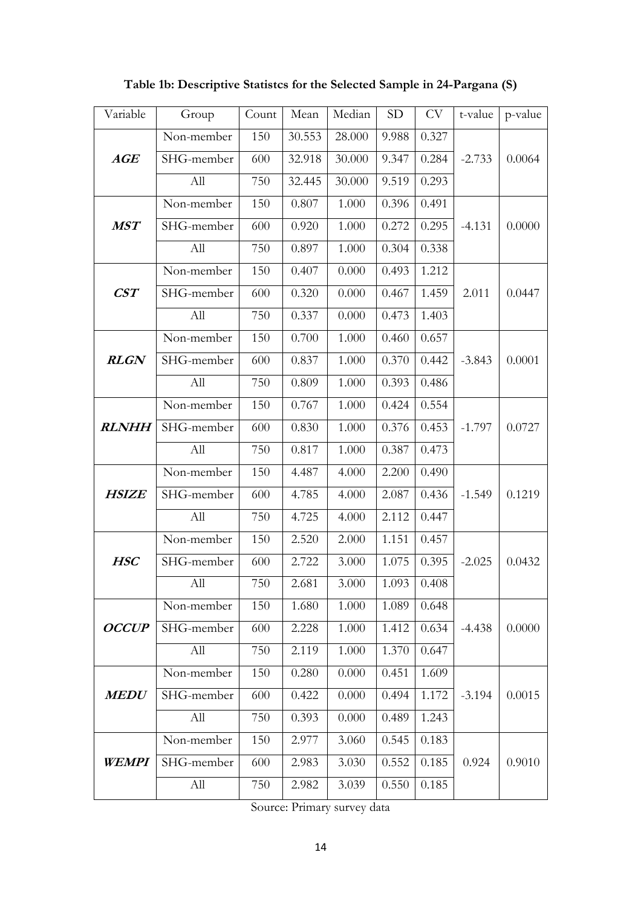| Variable       | Group      | Count | Mean   | Median | <b>SD</b> | <b>CV</b> | t-value  | p-value |
|----------------|------------|-------|--------|--------|-----------|-----------|----------|---------|
|                | Non-member | 150   | 30.553 | 28.000 | 9.988     | 0.327     |          |         |
| AGE            | SHG-member | 600   | 32.918 | 30.000 | 9.347     | 0.284     | $-2.733$ | 0.0064  |
|                | All        | 750   | 32.445 | 30.000 | 9.519     | 0.293     |          |         |
|                | Non-member | 150   | 0.807  | 1.000  | 0.396     | 0.491     |          |         |
| <b>MST</b>     | SHG-member | 600   | 0.920  | 1.000  | 0.272     | 0.295     | $-4.131$ | 0.0000  |
|                | All        | 750   | 0.897  | 1.000  | 0.304     | 0.338     |          |         |
|                | Non-member | 150   | 0.407  | 0.000  | 0.493     | 1.212     |          |         |
| $\mathbf{CST}$ | SHG-member | 600   | 0.320  | 0.000  | 0.467     | 1.459     | 2.011    | 0.0447  |
|                | All        | 750   | 0.337  | 0.000  | 0.473     | 1.403     |          |         |
|                | Non-member | 150   | 0.700  | 1.000  | 0.460     | 0.657     |          |         |
| <b>RLGN</b>    | SHG-member | 600   | 0.837  | 1.000  | 0.370     | 0.442     | $-3.843$ | 0.0001  |
|                | All        | 750   | 0.809  | 1.000  | 0.393     | 0.486     |          |         |
|                | Non-member | 150   | 0.767  | 1.000  | 0.424     | 0.554     |          |         |
| <b>RLNHH</b>   | SHG-member | 600   | 0.830  | 1.000  | 0.376     | 0.453     | $-1.797$ | 0.0727  |
|                | All        | 750   | 0.817  | 1.000  | 0.387     | 0.473     |          |         |
|                | Non-member | 150   | 4.487  | 4.000  | 2.200     | 0.490     |          |         |
| <b>HSIZE</b>   | SHG-member | 600   | 4.785  | 4.000  | 2.087     | 0.436     | $-1.549$ | 0.1219  |
|                | All        | 750   | 4.725  | 4.000  | 2.112     | 0.447     |          |         |
|                | Non-member | 150   | 2.520  | 2.000  | 1.151     | 0.457     |          |         |
| <b>HSC</b>     | SHG-member | 600   | 2.722  | 3.000  | 1.075     | 0.395     | $-2.025$ | 0.0432  |
|                | All        | 750   | 2.681  | 3.000  | 1.093     | 0.408     |          |         |
|                | Non-member | 150   | 1.680  | 1.000  | 1.089     | 0.648     |          |         |
| <b>OCCUP</b>   | SHG-member | 600   | 2.228  | 1.000  | 1.412     | 0.634     | $-4.438$ | 0.0000  |
|                | All        | 750   | 2.119  | 1.000  | 1.370     | 0.647     |          |         |
|                | Non-member | 150   | 0.280  | 0.000  | 0.451     | 1.609     |          |         |
| <b>MEDU</b>    | SHG-member | 600   | 0.422  | 0.000  | 0.494     | 1.172     | $-3.194$ | 0.0015  |
|                | All        | 750   | 0.393  | 0.000  | 0.489     | 1.243     |          |         |
|                | Non-member | 150   | 2.977  | 3.060  | 0.545     | 0.183     |          |         |
| WEMPI          | SHG-member | 600   | 2.983  | 3.030  | 0.552     | 0.185     | 0.924    | 0.9010  |
|                | All        | 750   | 2.982  | 3.039  | 0.550     | 0.185     |          |         |

Table 1b: Descriptive Statistcs for the Selected Sample in 24-Pargana (S)

Source: Primary survey data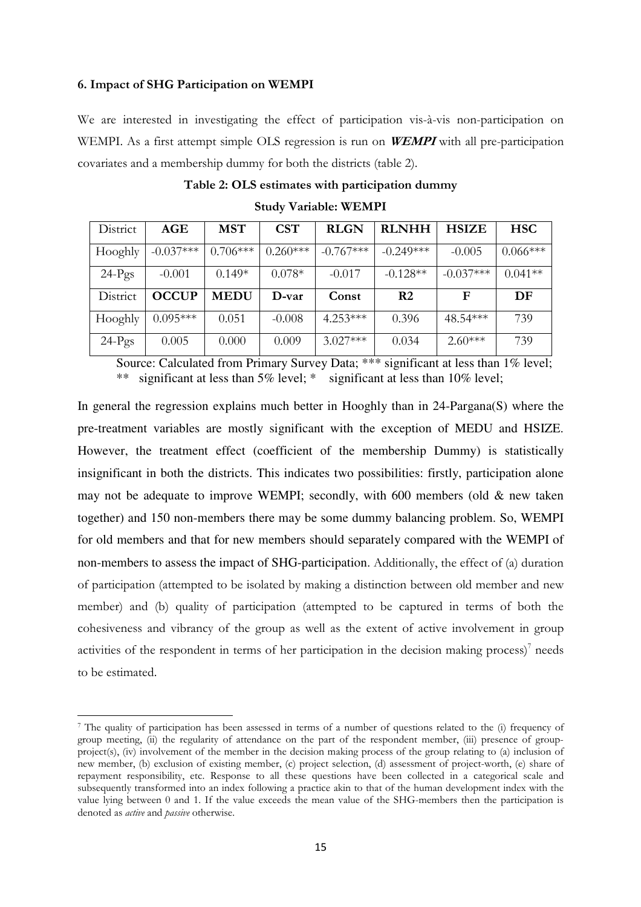#### 6. Impact of SHG Participation on WEMPI

 $\overline{a}$ 

We are interested in investigating the effect of participation vis-à-vis non-participation on WEMPI. As a first attempt simple OLS regression is run on **WEMPI** with all pre-participation covariates and a membership dummy for both the districts (table 2).

| District | AGE          | <b>MST</b>  | <b>CST</b> | <b>RLGN</b> | <b>RLNHH</b>   | <b>HSIZE</b> | <b>HSC</b> |
|----------|--------------|-------------|------------|-------------|----------------|--------------|------------|
| Hooghly  | $-0.037***$  | $0.706***$  | $0.260***$ | $-0.767***$ | $-0.249***$    | $-0.005$     | $0.066***$ |
| $24-Pgs$ | $-0.001$     | $0.149*$    | $0.078*$   | $-0.017$    | $-0.128**$     | $-0.037***$  | $0.041**$  |
| District | <b>OCCUP</b> | <b>MEDU</b> | D-var      | Const       | R <sub>2</sub> | F            | DF         |
| Hooghly  | $0.095***$   | 0.051       | $-0.008$   | $4.253***$  | 0.396          | 48.54***     | 739        |
| $24-Pgs$ | 0.005        | 0.000       | 0.009      | $3.027***$  | 0.034          | $2.60***$    | 739        |

Study Variable: WEMPI

Source: Calculated from Primary Survey Data; \*\*\* significant at less than 1% level; \*\* significant at less than 5% level; \* significant at less than 10% level;

In general the regression explains much better in Hooghly than in 24-Pargana(S) where the pre-treatment variables are mostly significant with the exception of MEDU and HSIZE. However, the treatment effect (coefficient of the membership Dummy) is statistically insignificant in both the districts. This indicates two possibilities: firstly, participation alone may not be adequate to improve WEMPI; secondly, with  $600$  members (old  $\&$  new taken together) and 150 non-members there may be some dummy balancing problem. So, WEMPI for old members and that for new members should separately compared with the WEMPI of non-members to assess the impact of SHG-participation. Additionally, the effect of (a) duration of participation (attempted to be isolated by making a distinction between old member and new member) and (b) quality of participation (attempted to be captured in terms of both the cohesiveness and vibrancy of the group as well as the extent of active involvement in group activities of the respondent in terms of her participation in the decision making process)<sup>7</sup> needs to be estimated.

<sup>7</sup> The quality of participation has been assessed in terms of a number of questions related to the (i) frequency of group meeting, (ii) the regularity of attendance on the part of the respondent member, (iii) presence of groupproject(s), (iv) involvement of the member in the decision making process of the group relating to (a) inclusion of new member, (b) exclusion of existing member, (c) project selection, (d) assessment of project-worth, (e) share of repayment responsibility, etc. Response to all these questions have been collected in a categorical scale and subsequently transformed into an index following a practice akin to that of the human development index with the value lying between 0 and 1. If the value exceeds the mean value of the SHG-members then the participation is denoted as active and passive otherwise.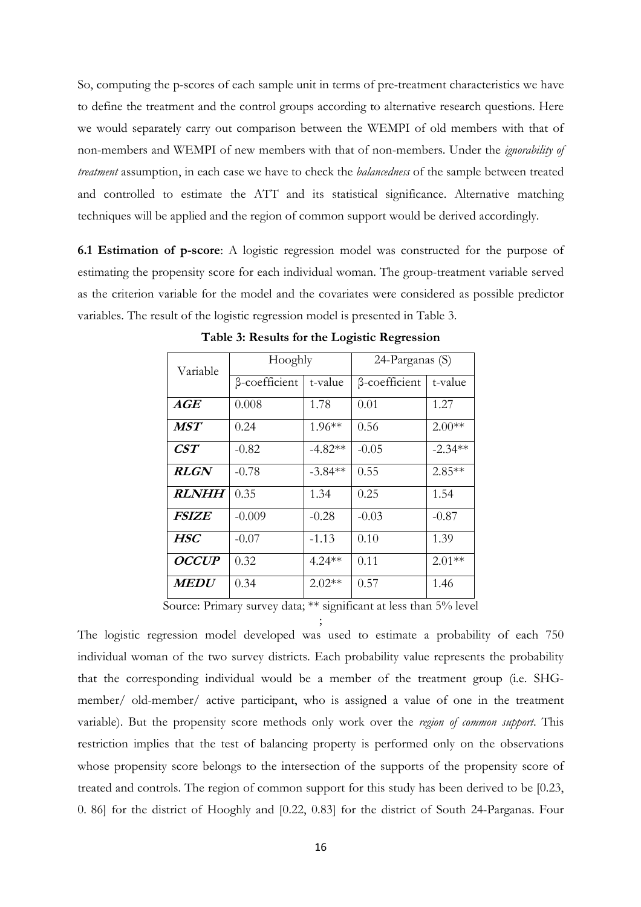So, computing the p-scores of each sample unit in terms of pre-treatment characteristics we have to define the treatment and the control groups according to alternative research questions. Here we would separately carry out comparison between the WEMPI of old members with that of non-members and WEMPI of new members with that of non-members. Under the ignorability of treatment assumption, in each case we have to check the *balancedness* of the sample between treated and controlled to estimate the ATT and its statistical significance. Alternative matching techniques will be applied and the region of common support would be derived accordingly.

6.1 Estimation of p-score: A logistic regression model was constructed for the purpose of estimating the propensity score for each individual woman. The group-treatment variable served as the criterion variable for the model and the covariates were considered as possible predictor variables. The result of the logistic regression model is presented in Table 3.

| Variable                | Hooghly       |           | 24-Parganas (S) |           |  |  |
|-------------------------|---------------|-----------|-----------------|-----------|--|--|
|                         | β-coefficient | t-value   | β-coefficient   | t-value   |  |  |
| $\pmb{A}\pmb{G}\pmb{E}$ | 0.008         | 1.78      | 0.01            | 1.27      |  |  |
| <b>MST</b>              | 0.24          | $1.96**$  | 0.56            | $2.00**$  |  |  |
| $\it{CST}$              | $-0.82$       | $-4.82**$ | $-0.05$         | $-2.34**$ |  |  |
| <i>RLGN</i>             | $-0.78$       | $-3.84**$ | 0.55            | $2.85**$  |  |  |
| <i><b>RLNHH</b></i>     | 0.35          | 1.34      | 0.25            | 1.54      |  |  |
| <i>FSIZE</i>            | $-0.009$      | $-0.28$   | $-0.03$         | $-0.87$   |  |  |
| <b>HSC</b>              | $-0.07$       | $-1.13$   | 0.10            | 1.39      |  |  |
| <i>OCCUP</i>            | 0.32          | $4.24**$  | 0.11            | $2.01**$  |  |  |
| <i><b>MEDU</b></i>      | 0.34          | $2.02**$  | 0.57            | 1.46      |  |  |

Table 3: Results for the Logistic Regression

Source: Primary survey data; \*\* significant at less than 5% level

; The logistic regression model developed was used to estimate a probability of each 750 individual woman of the two survey districts. Each probability value represents the probability that the corresponding individual would be a member of the treatment group (i.e. SHGmember/ old-member/ active participant, who is assigned a value of one in the treatment variable). But the propensity score methods only work over the region of common support. This restriction implies that the test of balancing property is performed only on the observations whose propensity score belongs to the intersection of the supports of the propensity score of treated and controls. The region of common support for this study has been derived to be [0.23, 0. 86] for the district of Hooghly and [0.22, 0.83] for the district of South 24-Parganas. Four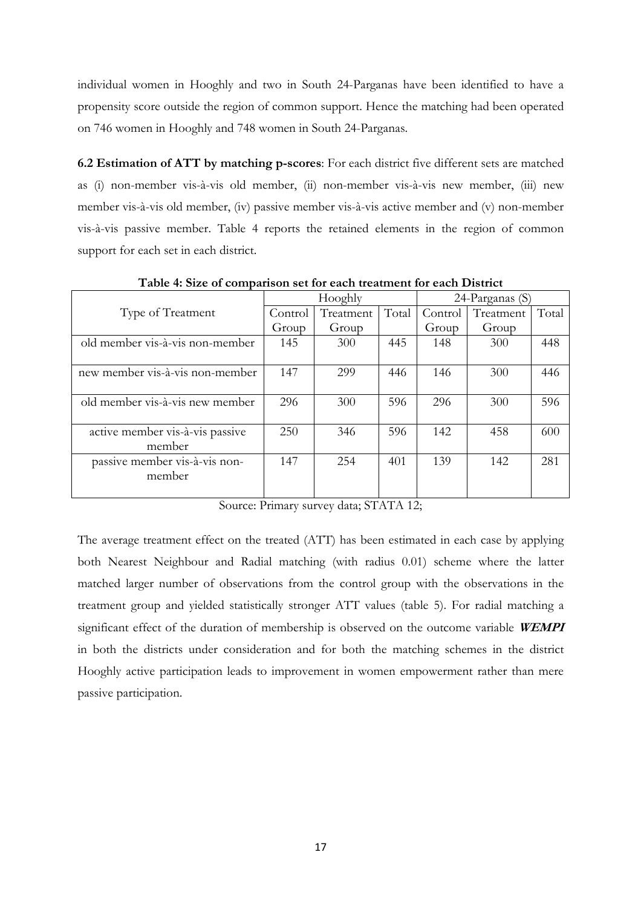individual women in Hooghly and two in South 24-Parganas have been identified to have a propensity score outside the region of common support. Hence the matching had been operated on 746 women in Hooghly and 748 women in South 24-Parganas.

6.2 Estimation of ATT by matching p-scores: For each district five different sets are matched as (i) non-member vis-à-vis old member, (ii) non-member vis-à-vis new member, (iii) new member vis-à-vis old member, (iv) passive member vis-à-vis active member and (v) non-member vis-à-vis passive member. Table 4 reports the retained elements in the region of common support for each set in each district.

| Twore it once of companions occupied caes it cannoni for each Bhother |         |           |       |                 |           |       |  |
|-----------------------------------------------------------------------|---------|-----------|-------|-----------------|-----------|-------|--|
|                                                                       |         | Hooghly   |       | 24-Parganas (S) |           |       |  |
| Type of Treatment                                                     | Control | Treatment | Total | Control         | Treatment | Total |  |
|                                                                       | Group   | Group     |       | Group           | Group     |       |  |
| old member vis-à-vis non-member                                       | 145     | 300       | 445   | 148             | 300       | 448   |  |
|                                                                       |         |           |       |                 |           |       |  |
| new member vis-à-vis non-member                                       | 147     | 299       | 446   | 146             | 300       | 446   |  |
|                                                                       |         |           |       |                 |           |       |  |
| old member vis-à-vis new member                                       | 296     | 300       | 596   | 296             | 300       | 596   |  |
|                                                                       |         |           |       |                 |           |       |  |
| active member vis-à-vis passive                                       | 250     | 346       | 596   | 142             | 458       | 600   |  |
| member                                                                |         |           |       |                 |           |       |  |
| passive member vis-à-vis non-                                         | 147     | 254       | 401   | 139             | 142       | 281   |  |
| member                                                                |         |           |       |                 |           |       |  |
|                                                                       |         |           |       |                 |           |       |  |

Table 4: Size of comparison set for each treatment for each District

Source: Primary survey data; STATA 12;

The average treatment effect on the treated (ATT) has been estimated in each case by applying both Nearest Neighbour and Radial matching (with radius 0.01) scheme where the latter matched larger number of observations from the control group with the observations in the treatment group and yielded statistically stronger ATT values (table 5). For radial matching a significant effect of the duration of membership is observed on the outcome variable WEMPI in both the districts under consideration and for both the matching schemes in the district Hooghly active participation leads to improvement in women empowerment rather than mere passive participation.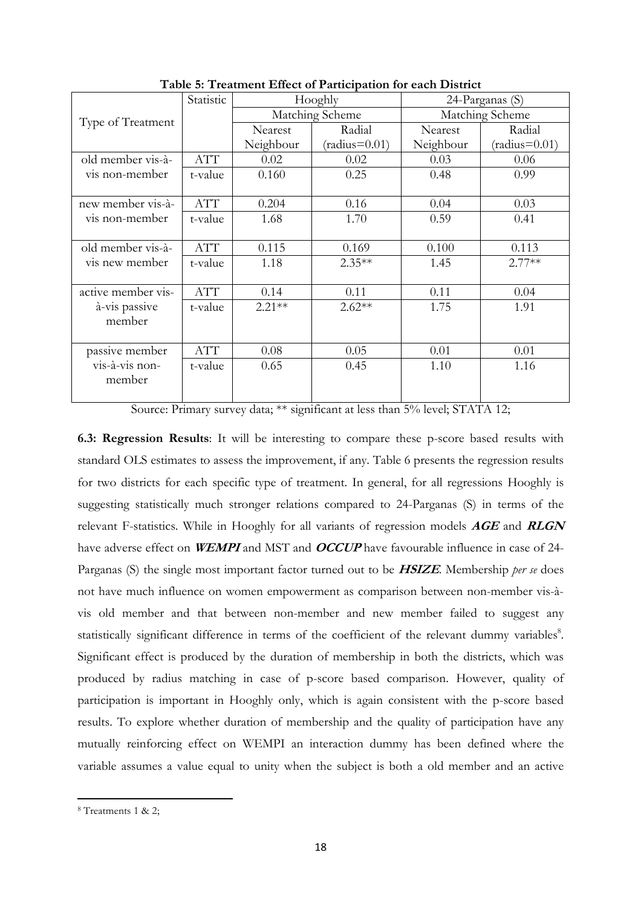|                    | Statistic  |           | Hooghly         | 24-Parganas (S) |                 |  |  |
|--------------------|------------|-----------|-----------------|-----------------|-----------------|--|--|
| Type of Treatment  |            |           | Matching Scheme |                 | Matching Scheme |  |  |
|                    |            | Nearest   | Radial          | Nearest         | Radial          |  |  |
|                    |            | Neighbour | $(radius=0.01)$ | Neighbour       | $(radius=0.01)$ |  |  |
| old member vis-à-  | <b>ATT</b> | 0.02      | 0.02            | 0.03            | 0.06            |  |  |
| vis non-member     | t-value    | 0.160     | 0.25            | 0.48            | 0.99            |  |  |
|                    |            |           |                 |                 |                 |  |  |
| new member vis-à-  | <b>ATT</b> | 0.204     | 0.16            | 0.04            | 0.03            |  |  |
| vis non-member     | t-value    | 1.68      | 1.70            | 0.59            | 0.41            |  |  |
|                    |            |           |                 |                 |                 |  |  |
| old member vis-à-  | <b>ATT</b> | 0.115     | 0.169           | 0.100           | 0.113           |  |  |
| vis new member     | t-value    | 1.18      | $2.35**$        | 1.45            | $2.77**$        |  |  |
|                    |            |           |                 |                 |                 |  |  |
| active member vis- | <b>ATT</b> | 0.14      | 0.11            | 0.11            | 0.04            |  |  |
| à-vis passive      | t-value    | $2.21**$  | $2.62**$        | 1.75            | 1.91            |  |  |
| member             |            |           |                 |                 |                 |  |  |
|                    |            |           |                 |                 |                 |  |  |
| passive member     | <b>ATT</b> | 0.08      | 0.05            | 0.01            | 0.01            |  |  |
| vis-à-vis non-     | t-value    | 0.65      | 0.45            | 1.10            | 1.16            |  |  |
| member             |            |           |                 |                 |                 |  |  |
|                    |            |           |                 |                 |                 |  |  |

Table 5: Treatment Effect of Participation for each District

Source: Primary survey data; \*\* significant at less than 5% level; STATA 12;

6.3: Regression Results: It will be interesting to compare these p-score based results with standard OLS estimates to assess the improvement, if any. Table 6 presents the regression results for two districts for each specific type of treatment. In general, for all regressions Hooghly is suggesting statistically much stronger relations compared to 24-Parganas (S) in terms of the relevant F-statistics. While in Hooghly for all variants of regression models  $AGE$  and  $RLGN$ have adverse effect on **WEMPI** and MST and **OCCUP** have favourable influence in case of 24-Parganas (S) the single most important factor turned out to be **HSIZE**. Membership per se does not have much influence on women empowerment as comparison between non-member vis-àvis old member and that between non-member and new member failed to suggest any statistically significant difference in terms of the coefficient of the relevant dummy variables<sup>8</sup>. Significant effect is produced by the duration of membership in both the districts, which was produced by radius matching in case of p-score based comparison. However, quality of participation is important in Hooghly only, which is again consistent with the p-score based results. To explore whether duration of membership and the quality of participation have any mutually reinforcing effect on WEMPI an interaction dummy has been defined where the variable assumes a value equal to unity when the subject is both a old member and an active

l

<sup>8</sup> Treatments 1 & 2;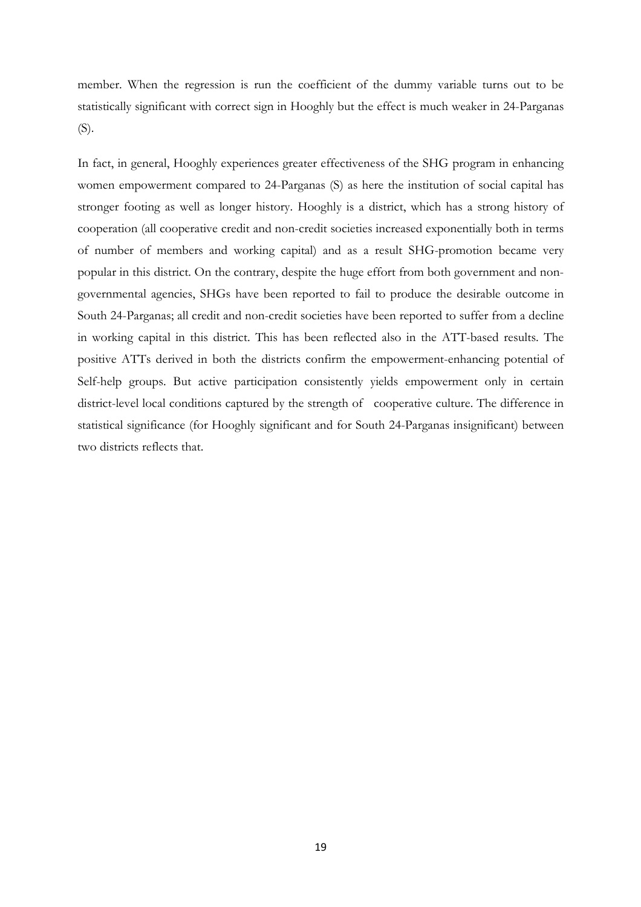member. When the regression is run the coefficient of the dummy variable turns out to be statistically significant with correct sign in Hooghly but the effect is much weaker in 24-Parganas (S).

In fact, in general, Hooghly experiences greater effectiveness of the SHG program in enhancing women empowerment compared to 24-Parganas (S) as here the institution of social capital has stronger footing as well as longer history. Hooghly is a district, which has a strong history of cooperation (all cooperative credit and non-credit societies increased exponentially both in terms of number of members and working capital) and as a result SHG-promotion became very popular in this district. On the contrary, despite the huge effort from both government and nongovernmental agencies, SHGs have been reported to fail to produce the desirable outcome in South 24-Parganas; all credit and non-credit societies have been reported to suffer from a decline in working capital in this district. This has been reflected also in the ATT-based results. The positive ATTs derived in both the districts confirm the empowerment-enhancing potential of Self-help groups. But active participation consistently yields empowerment only in certain district-level local conditions captured by the strength of cooperative culture. The difference in statistical significance (for Hooghly significant and for South 24-Parganas insignificant) between two districts reflects that.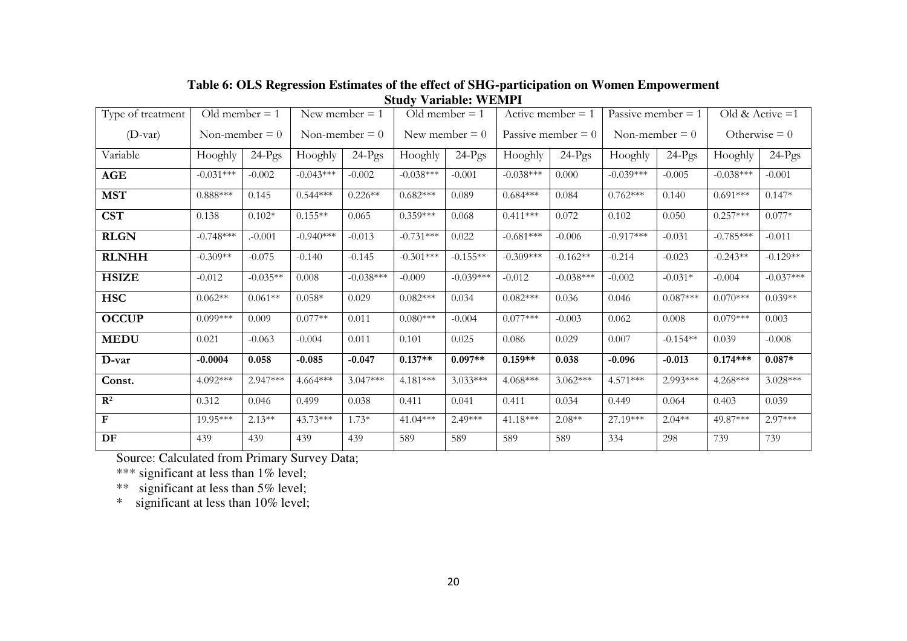| Type of treatment         | Old member $= 1$ |            |             | New member $= 1$ |                  | Old member $= 1$ |             | Active member $= 1$  |                  | Passive member $= 1$ |             | Old & Active $=1$ |
|---------------------------|------------------|------------|-------------|------------------|------------------|------------------|-------------|----------------------|------------------|----------------------|-------------|-------------------|
| $(D$ -var)                | Non-member $= 0$ |            |             | Non-member $= 0$ | New member $= 0$ |                  |             | Passive member $= 0$ | Non-member $= 0$ |                      |             | Otherwise $= 0$   |
| Variable                  | Hooghly          | $24-Pgs$   | Hooghly     | $24-Pgs$         | Hooghly          | $24-Pgs$         | Hooghly     | $24-Pgs$             | Hooghly          | $24-Pgs$             | Hooghly     | $24-Pgs$          |
| <b>AGE</b>                | $-0.031***$      | $-0.002$   | $-0.043***$ | $-0.002$         | $-0.038***$      | $-0.001$         | $-0.038***$ | 0.000                | $-0.039***$      | $-0.005$             | $-0.038***$ | $-0.001$          |
| <b>MST</b>                | $0.888***$       | 0.145      | $0.544***$  | $0.226**$        | $0.682***$       | 0.089            | $0.684***$  | 0.084                | $0.762***$       | 0.140                | $0.691***$  | $0.147*$          |
| <b>CST</b>                | 0.138            | $0.102*$   | $0.155**$   | 0.065            | $0.359***$       | 0.068            | $0.411***$  | 0.072                | 0.102            | 0.050                | $0.257***$  | $0.077*$          |
| <b>RLGN</b>               | $-0.748***$      | $. -0.001$ | $-0.940***$ | $-0.013$         | $-0.731***$      | 0.022            | $-0.681***$ | $-0.006$             | $-0.917***$      | $-0.031$             | $-0.785***$ | $-0.011$          |
| <b>RLNHH</b>              | $-0.309**$       | $-0.075$   | $-0.140$    | $-0.145$         | $-0.301***$      | $-0.155**$       | $-0.309***$ | $-0.162**$           | $-0.214$         | $-0.023$             | $-0.243**$  | $-0.129**$        |
| <b>HSIZE</b>              | $-0.012$         | $-0.035**$ | 0.008       | $-0.038***$      | $-0.009$         | $-0.039***$      | $-0.012$    | $-0.038***$          | $-0.002$         | $-0.031*$            | $-0.004$    | $-0.037***$       |
| <b>HSC</b>                | $0.062**$        | $0.061**$  | $0.058*$    | 0.029            | $0.082***$       | 0.034            | $0.082***$  | 0.036                | 0.046            | $0.087***$           | $0.070***$  | $0.039**$         |
| <b>OCCUP</b>              | $0.099***$       | 0.009      | $0.077**$   | 0.011            | $0.080***$       | $-0.004$         | $0.077***$  | $-0.003$             | 0.062            | 0.008                | $0.079***$  | 0.003             |
| <b>MEDU</b>               | 0.021            | $-0.063$   | $-0.004$    | 0.011            | 0.101            | 0.025            | 0.086       | 0.029                | 0.007            | $-0.154**$           | 0.039       | $-0.008$          |
| D-var                     | $-0.0004$        | 0.058      | $-0.085$    | $-0.047$         | $0.137**$        | $0.097**$        | $0.159**$   | 0.038                | $-0.096$         | $-0.013$             | $0.174***$  | $0.087*$          |
| Const.                    | 4.092***         | 2.947***   | $4.664***$  | $3.047***$       | $4.181***$       | $3.033***$       | $4.068***$  | $3.062***$           | $4.571***$       | 2.993***             | $4.268***$  | $3.028***$        |
| $\overline{\mathbb{R}^2}$ | 0.312            | 0.046      | 0.499       | 0.038            | 0.411            | 0.041            | 0.411       | 0.034                | 0.449            | 0.064                | 0.403       | 0.039             |
| $\mathbf{F}$              | 19.95***         | $2.13**$   | $43.73***$  | $1.73*$          | $41.04***$       | $2.49***$        | 41.18***    | $2.08**$             | 27.19***         | $2.04**$             | 49.87***    | $2.97***$         |
| DF                        | 439              | 439        | 439         | 439              | 589              | 589              | 589         | 589                  | 334              | 298                  | 739         | 739               |

## **Table 6: OLS Regression Estimates of the effect of SHG-participation on Women Empowerment Study Variable: WEMPI**

Source: Calculated from Primary Survey Data; \*\*\* significant at less than 1% level;

\*\* significant at less than 5% level;

\* significant at less than 10% level;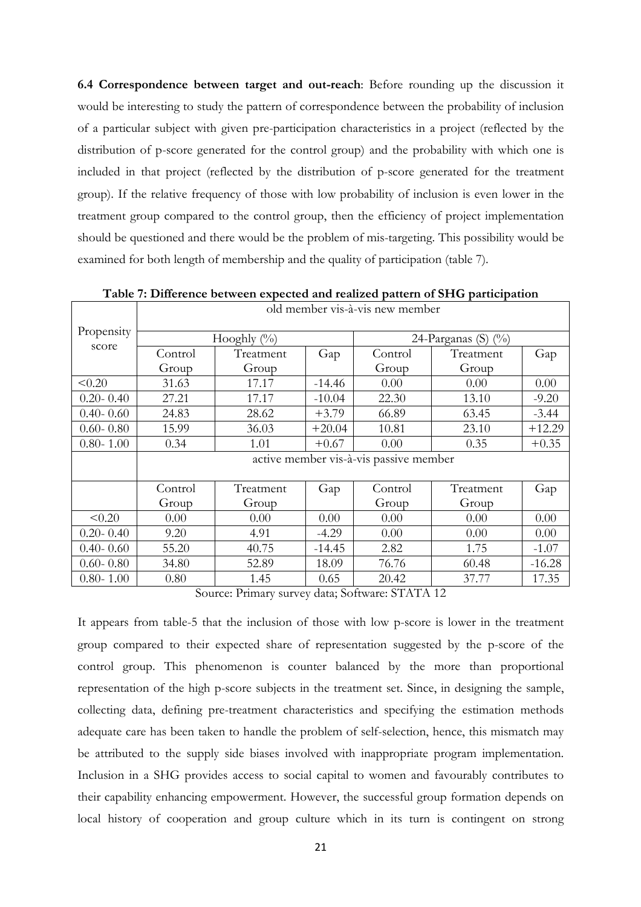6.4 Correspondence between target and out-reach: Before rounding up the discussion it would be interesting to study the pattern of correspondence between the probability of inclusion of a particular subject with given pre-participation characteristics in a project (reflected by the distribution of p-score generated for the control group) and the probability with which one is included in that project (reflected by the distribution of p-score generated for the treatment group). If the relative frequency of those with low probability of inclusion is even lower in the treatment group compared to the control group, then the efficiency of project implementation should be questioned and there would be the problem of mis-targeting. This possibility would be examined for both length of membership and the quality of participation (table 7).

|               | old member vis-à-vis new member        |                |          |         |                        |          |  |  |  |  |
|---------------|----------------------------------------|----------------|----------|---------|------------------------|----------|--|--|--|--|
| Propensity    |                                        | Hooghly $(\%)$ |          |         | 24-Parganas (S) $(\%)$ |          |  |  |  |  |
| score         | Control                                | Treatment      | Gap      | Control | Treatment              | Gap      |  |  |  |  |
|               | Group                                  | Group          |          | Group   | Group                  |          |  |  |  |  |
| < 0.20        | 31.63                                  | 17.17          | $-14.46$ | 0.00    | 0.00                   | 0.00     |  |  |  |  |
| $0.20 - 0.40$ | 27.21                                  | 17.17          | $-10.04$ | 22.30   | 13.10                  | $-9.20$  |  |  |  |  |
| $0.40 - 0.60$ | 24.83                                  | 28.62          | $+3.79$  | 66.89   | 63.45                  | $-3.44$  |  |  |  |  |
| $0.60 - 0.80$ | 15.99                                  | 36.03          | $+20.04$ | 10.81   | 23.10                  | $+12.29$ |  |  |  |  |
| $0.80 - 1.00$ | 0.34                                   | 1.01           | $+0.67$  | 0.00    | 0.35                   | $+0.35$  |  |  |  |  |
|               | active member vis-à-vis passive member |                |          |         |                        |          |  |  |  |  |
|               | Control                                | Treatment      | Gap      | Control | Treatment              | Gap      |  |  |  |  |
|               | Group                                  | Group          |          | Group   | Group                  |          |  |  |  |  |
| < 0.20        | 0.00                                   | 0.00           | 0.00     | 0.00    | 0.00                   | 0.00     |  |  |  |  |
| $0.20 - 0.40$ | 9.20                                   | 4.91           | $-4.29$  | 0.00    | 0.00                   | 0.00     |  |  |  |  |
| $0.40 - 0.60$ | 55.20                                  | 40.75          | $-14.45$ | 2.82    | 1.75                   | $-1.07$  |  |  |  |  |
| $0.60 - 0.80$ | 34.80                                  | 52.89          | 18.09    | 76.76   | 60.48                  | $-16.28$ |  |  |  |  |
| $0.80 - 1.00$ | 0.80                                   | 1.45           | 0.65     | 20.42   | 37.77                  | 17.35    |  |  |  |  |

Table 7: Difference between expected and realized pattern of SHG participation

Source: Primary survey data; Software: STATA 12

It appears from table-5 that the inclusion of those with low p-score is lower in the treatment group compared to their expected share of representation suggested by the p-score of the control group. This phenomenon is counter balanced by the more than proportional representation of the high p-score subjects in the treatment set. Since, in designing the sample, collecting data, defining pre-treatment characteristics and specifying the estimation methods adequate care has been taken to handle the problem of self-selection, hence, this mismatch may be attributed to the supply side biases involved with inappropriate program implementation. Inclusion in a SHG provides access to social capital to women and favourably contributes to their capability enhancing empowerment. However, the successful group formation depends on local history of cooperation and group culture which in its turn is contingent on strong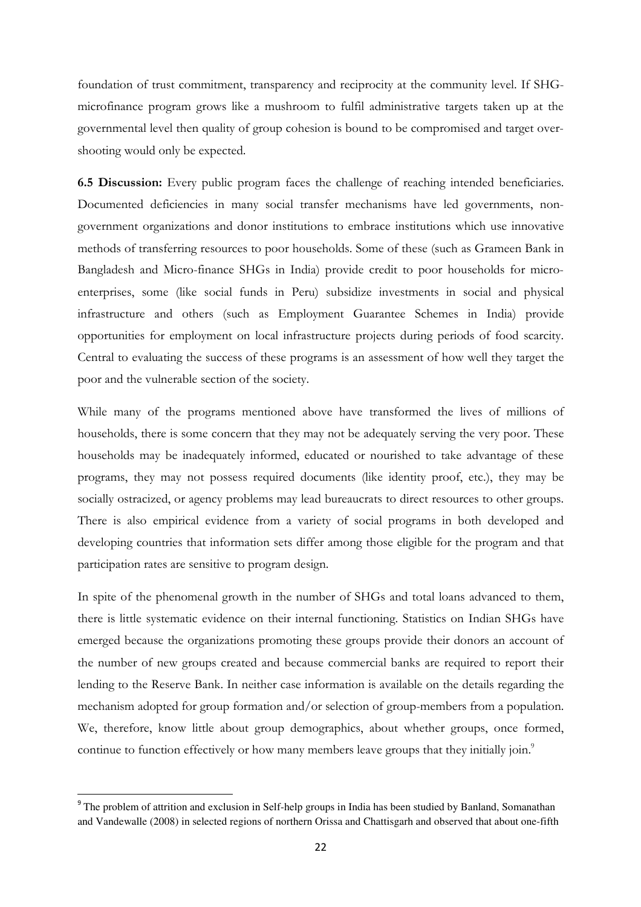foundation of trust commitment, transparency and reciprocity at the community level. If SHGmicrofinance program grows like a mushroom to fulfil administrative targets taken up at the governmental level then quality of group cohesion is bound to be compromised and target overshooting would only be expected.

6.5 Discussion: Every public program faces the challenge of reaching intended beneficiaries. Documented deficiencies in many social transfer mechanisms have led governments, nongovernment organizations and donor institutions to embrace institutions which use innovative methods of transferring resources to poor households. Some of these (such as Grameen Bank in Bangladesh and Micro-finance SHGs in India) provide credit to poor households for microenterprises, some (like social funds in Peru) subsidize investments in social and physical infrastructure and others (such as Employment Guarantee Schemes in India) provide opportunities for employment on local infrastructure projects during periods of food scarcity. Central to evaluating the success of these programs is an assessment of how well they target the poor and the vulnerable section of the society.

While many of the programs mentioned above have transformed the lives of millions of households, there is some concern that they may not be adequately serving the very poor. These households may be inadequately informed, educated or nourished to take advantage of these programs, they may not possess required documents (like identity proof, etc.), they may be socially ostracized, or agency problems may lead bureaucrats to direct resources to other groups. There is also empirical evidence from a variety of social programs in both developed and developing countries that information sets differ among those eligible for the program and that participation rates are sensitive to program design.

In spite of the phenomenal growth in the number of SHGs and total loans advanced to them, there is little systematic evidence on their internal functioning. Statistics on Indian SHGs have emerged because the organizations promoting these groups provide their donors an account of the number of new groups created and because commercial banks are required to report their lending to the Reserve Bank. In neither case information is available on the details regarding the mechanism adopted for group formation and/or selection of group-members from a population. We, therefore, know little about group demographics, about whether groups, once formed, continue to function effectively or how many members leave groups that they initially join.<sup>9</sup>

 $\overline{\phantom{0}}$ 

<sup>&</sup>lt;sup>9</sup> The problem of attrition and exclusion in Self-help groups in India has been studied by Banland, Somanathan and Vandewalle (2008) in selected regions of northern Orissa and Chattisgarh and observed that about one-fifth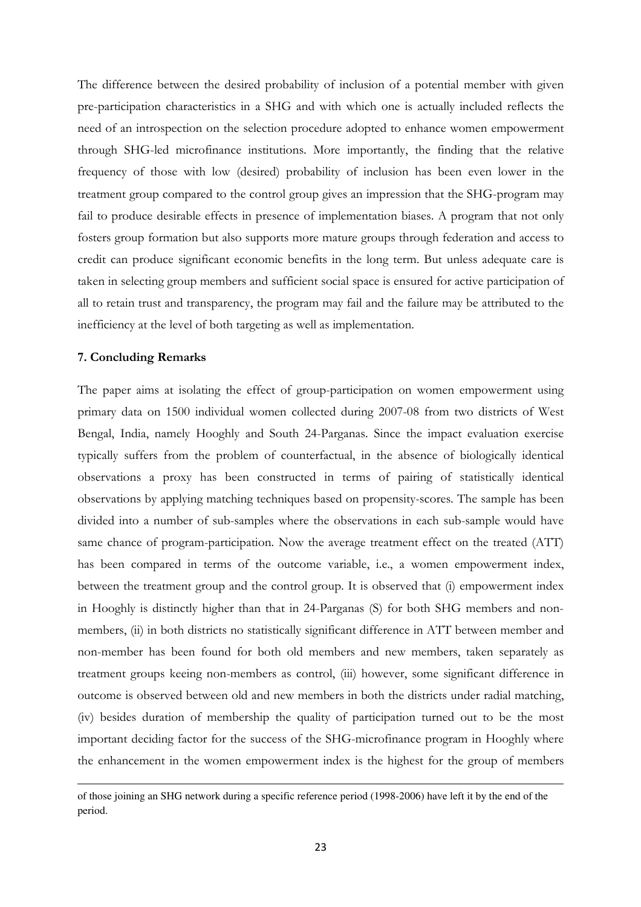The difference between the desired probability of inclusion of a potential member with given pre-participation characteristics in a SHG and with which one is actually included reflects the need of an introspection on the selection procedure adopted to enhance women empowerment through SHG-led microfinance institutions. More importantly, the finding that the relative frequency of those with low (desired) probability of inclusion has been even lower in the treatment group compared to the control group gives an impression that the SHG-program may fail to produce desirable effects in presence of implementation biases. A program that not only fosters group formation but also supports more mature groups through federation and access to credit can produce significant economic benefits in the long term. But unless adequate care is taken in selecting group members and sufficient social space is ensured for active participation of all to retain trust and transparency, the program may fail and the failure may be attributed to the inefficiency at the level of both targeting as well as implementation.

### 7. Concluding Remarks

 $\overline{\phantom{0}}$ 

The paper aims at isolating the effect of group-participation on women empowerment using primary data on 1500 individual women collected during 2007-08 from two districts of West Bengal, India, namely Hooghly and South 24-Parganas. Since the impact evaluation exercise typically suffers from the problem of counterfactual, in the absence of biologically identical observations a proxy has been constructed in terms of pairing of statistically identical observations by applying matching techniques based on propensity-scores. The sample has been divided into a number of sub-samples where the observations in each sub-sample would have same chance of program-participation. Now the average treatment effect on the treated (ATT) has been compared in terms of the outcome variable, i.e., a women empowerment index, between the treatment group and the control group. It is observed that (i) empowerment index in Hooghly is distinctly higher than that in 24-Parganas (S) for both SHG members and nonmembers, (ii) in both districts no statistically significant difference in ATT between member and non-member has been found for both old members and new members, taken separately as treatment groups keeing non-members as control, (iii) however, some significant difference in outcome is observed between old and new members in both the districts under radial matching, (iv) besides duration of membership the quality of participation turned out to be the most important deciding factor for the success of the SHG-microfinance program in Hooghly where the enhancement in the women empowerment index is the highest for the group of members

of those joining an SHG network during a specific reference period (1998-2006) have left it by the end of the period.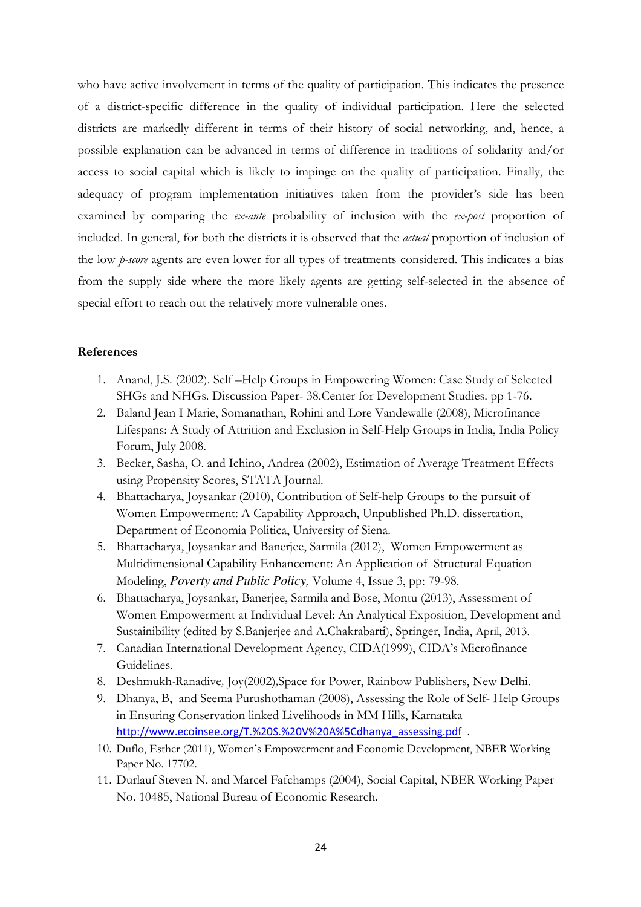who have active involvement in terms of the quality of participation. This indicates the presence of a district-specific difference in the quality of individual participation. Here the selected districts are markedly different in terms of their history of social networking, and, hence, a possible explanation can be advanced in terms of difference in traditions of solidarity and/or access to social capital which is likely to impinge on the quality of participation. Finally, the adequacy of program implementation initiatives taken from the provider's side has been examined by comparing the ex-ante probability of inclusion with the ex-post proportion of included. In general, for both the districts it is observed that the actual proportion of inclusion of the low *p-score* agents are even lower for all types of treatments considered. This indicates a bias from the supply side where the more likely agents are getting self-selected in the absence of special effort to reach out the relatively more vulnerable ones.

## References

- 1. Anand, J.S. (2002). Self –Help Groups in Empowering Women: Case Study of Selected SHGs and NHGs. Discussion Paper- 38.Center for Development Studies. pp 1-76.
- 2. Baland Jean I Marie, Somanathan, Rohini and Lore Vandewalle (2008), Microfinance Lifespans: A Study of Attrition and Exclusion in Self-Help Groups in India, India Policy Forum, July 2008.
- 3. Becker, Sasha, O. and Ichino, Andrea (2002), Estimation of Average Treatment Effects using Propensity Scores, STATA Journal.
- 4. Bhattacharya, Joysankar (2010), Contribution of Self-help Groups to the pursuit of Women Empowerment: A Capability Approach, Unpublished Ph.D. dissertation, Department of Economia Politica, University of Siena.
- 5. Bhattacharya, Joysankar and Banerjee, Sarmila (2012), Women Empowerment as Multidimensional Capability Enhancement: An Application of Structural Equation Modeling, *Poverty and Public Policy,* Volume 4, Issue 3, pp: 79-98.
- 6. Bhattacharya, Joysankar, Banerjee, Sarmila and Bose, Montu (2013), Assessment of Women Empowerment at Individual Level: An Analytical Exposition, Development and Sustainibility (edited by S.Banjerjee and A.Chakrabarti), Springer, India, April, 2013.
- 7. Canadian International Development Agency, CIDA(1999), CIDA's Microfinance Guidelines.
- 8. Deshmukh-Ranadive, Joy(2002),Space for Power, Rainbow Publishers, New Delhi.
- 9. Dhanya, B, and Seema Purushothaman (2008), Assessing the Role of Self- Help Groups in Ensuring Conservation linked Livelihoods in MM Hills, Karnataka http://www.ecoinsee.org/T.%20S.%20V%20A%5Cdhanya\_assessing.pdf .
- 10. Duflo, Esther (2011), Women's Empowerment and Economic Development, NBER Working Paper No. 17702.
- 11. Durlauf Steven N. and Marcel Fafchamps (2004), Social Capital, NBER Working Paper No. 10485, National Bureau of Economic Research.